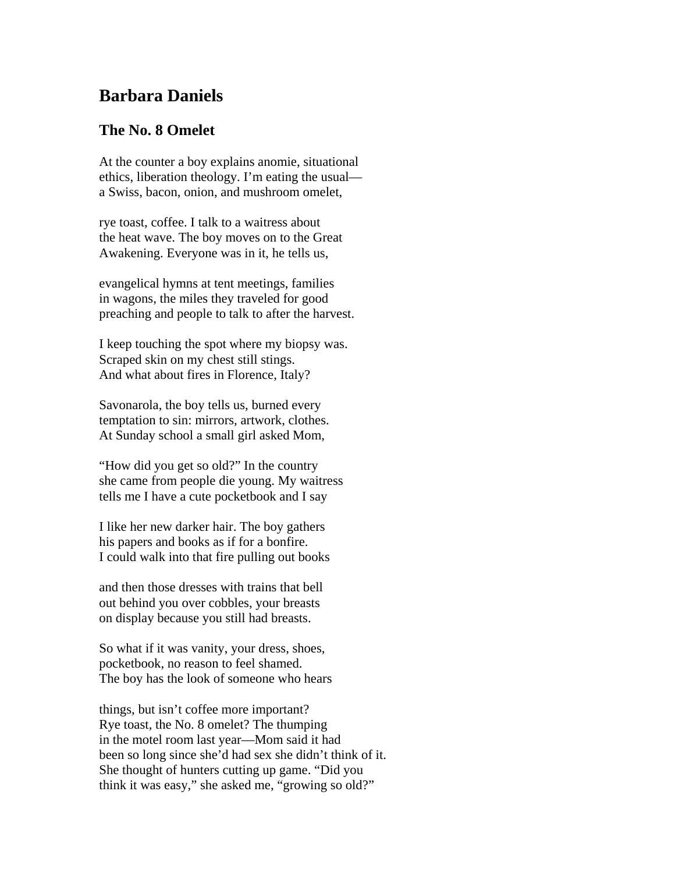## **Barbara Daniels**

## **The No. 8 Omelet**

At the counter a boy explains anomie, situational ethics, liberation theology. I'm eating the usual a Swiss, bacon, onion, and mushroom omelet,

rye toast, coffee. I talk to a waitress about the heat wave. The boy moves on to the Great Awakening. Everyone was in it, he tells us,

evangelical hymns at tent meetings, families in wagons, the miles they traveled for good preaching and people to talk to after the harvest.

I keep touching the spot where my biopsy was. Scraped skin on my chest still stings. And what about fires in Florence, Italy?

Savonarola, the boy tells us, burned every temptation to sin: mirrors, artwork, clothes. At Sunday school a small girl asked Mom,

"How did you get so old?" In the country she came from people die young. My waitress tells me I have a cute pocketbook and I say

I like her new darker hair. The boy gathers his papers and books as if for a bonfire. I could walk into that fire pulling out books

and then those dresses with trains that bell out behind you over cobbles, your breasts on display because you still had breasts.

So what if it was vanity, your dress, shoes, pocketbook, no reason to feel shamed. The boy has the look of someone who hears

things, but isn't coffee more important? Rye toast, the No. 8 omelet? The thumping in the motel room last year—Mom said it had been so long since she'd had sex she didn't think of it. She thought of hunters cutting up game. "Did you think it was easy," she asked me, "growing so old?"